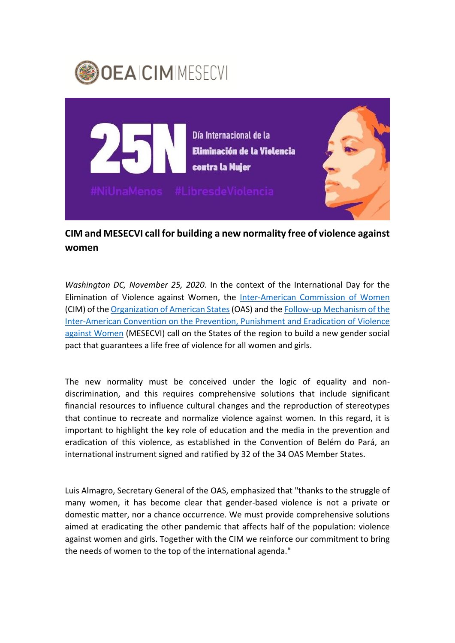



## **CIM and MESECVI call for building a new normality free of violence against women**

*Washington DC, November 25, 2020*. In the context of the International Day for the Elimination of Violence against Women, the [Inter-American Commission of Women](http://www.oas.org/en/cim/about.asp) (CIM) of the [Organization of American States\(](http://www.oas.org/en/default.asp)OAS) and the [Follow-up Mechanism of the](http://www.oas.org/en/mesecvi/about.asp)  [Inter-American Convention on the Prevention, Punishment and Eradication of Violence](http://www.oas.org/en/mesecvi/about.asp)  [against Women](http://www.oas.org/en/mesecvi/about.asp) (MESECVI) call on the States of the region to build a new gender social pact that guarantees a life free of violence for all women and girls.

The new normality must be conceived under the logic of equality and nondiscrimination, and this requires comprehensive solutions that include significant financial resources to influence cultural changes and the reproduction of stereotypes that continue to recreate and normalize violence against women. In this regard, it is important to highlight the key role of education and the media in the prevention and eradication of this violence, as established in the Convention of Belém do Pará, an international instrument signed and ratified by 32 of the 34 OAS Member States.

Luis Almagro, Secretary General of the OAS, emphasized that "thanks to the struggle of many women, it has become clear that gender-based violence is not a private or domestic matter, nor a chance occurrence. We must provide comprehensive solutions aimed at eradicating the other pandemic that affects half of the population: violence against women and girls. Together with the CIM we reinforce our commitment to bring the needs of women to the top of the international agenda."